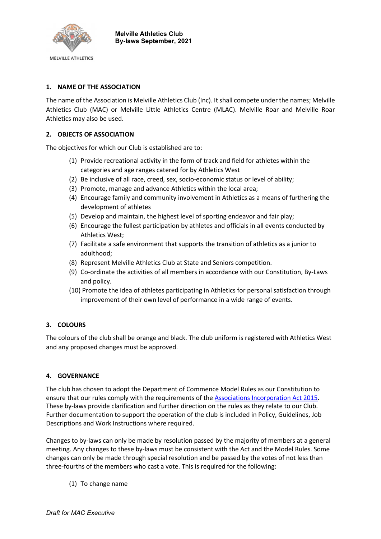

## 1. NAME OF THE ASSOCIATION

The name of the Association is Melville Athletics Club (Inc). It shall compete under the names; Melville Athletics Club (MAC) or Melville Little Athletics Centre (MLAC). Melville Roar and Melville Roar Athletics may also be used.

## 2. OBJECTS OF ASSOCIATION

The objectives for which our Club is established are to:

- (1) Provide recreational activity in the form of track and field for athletes within the categories and age ranges catered for by Athletics West
- (2) Be inclusive of all race, creed, sex, socio-economic status or level of ability;
- (3) Promote, manage and advance Athletics within the local area;
- (4) Encourage family and community involvement in Athletics as a means of furthering the development of athletes
- (5) Develop and maintain, the highest level of sporting endeavor and fair play;
- (6) Encourage the fullest participation by athletes and officials in all events conducted by Athletics West;
- (7) Facilitate a safe environment that supports the transition of athletics as a junior to adulthood;
- (8) Represent Melville Athletics Club at State and Seniors competition.
- (9) Co-ordinate the activities of all members in accordance with our Constitution, By-Laws and policy.
- (10) Promote the idea of athletes participating in Athletics for personal satisfaction through improvement of their own level of performance in a wide range of events.

### 3. COLOURS

The colours of the club shall be orange and black. The club uniform is registered with Athletics West and any proposed changes must be approved.

### 4. GOVERNANCE

The club has chosen to adopt the Department of Commence Model Rules as our Constitution to ensure that our rules comply with the requirements of the Associations Incorporation Act 2015. These by-laws provide clarification and further direction on the rules as they relate to our Club. Further documentation to support the operation of the club is included in Policy, Guidelines, Job Descriptions and Work Instructions where required.

Changes to by-laws can only be made by resolution passed by the majority of members at a general meeting. Any changes to these by-laws must be consistent with the Act and the Model Rules. Some changes can only be made through special resolution and be passed by the votes of not less than three-fourths of the members who cast a vote. This is required for the following:

(1) To change name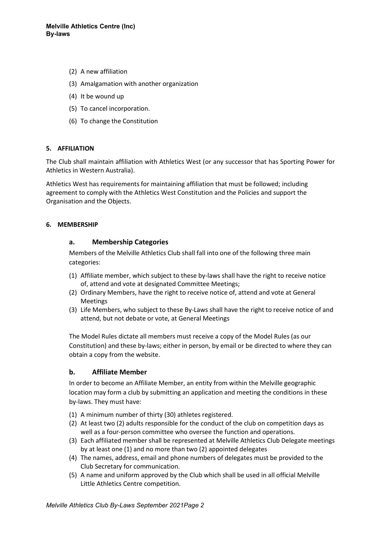- (2) A new affiliation
- (3) Amalgamation with another organization
- (4) It be wound up
- (5) To cancel incorporation.
- (6) To change the Constitution

### 5. AFFILIATION

The Club shall maintain affiliation with Athletics West (or any successor that has Sporting Power for Athletics in Western Australia).

Athletics West has requirements for maintaining affiliation that must be followed; including agreement to comply with the Athletics West Constitution and the Policies and support the Organisation and the Objects.

### 6. MEMBERSHIP

### a. Membership Categories

Members of the Melville Athletics Club shall fall into one of the following three main categories:

- (1) Affiliate member, which subject to these by-laws shall have the right to receive notice of, attend and vote at designated Committee Meetings;
- (2) Ordinary Members, have the right to receive notice of, attend and vote at General Meetings
- (3) Life Members, who subject to these By-Laws shall have the right to receive notice of and attend, but not debate or vote, at General Meetings

The Model Rules dictate all members must receive a copy of the Model Rules (as our Constitution) and these by-laws; either in person, by email or be directed to where they can obtain a copy from the website.

### b. Affiliate Member

In order to become an Affiliate Member, an entity from within the Melville geographic location may form a club by submitting an application and meeting the conditions in these by-laws. They must have:

- (1) A minimum number of thirty (30) athletes registered.
- (2) At least two (2) adults responsible for the conduct of the club on competition days as well as a four-person committee who oversee the function and operations.
- (3) Each affiliated member shall be represented at Melville Athletics Club Delegate meetings by at least one (1) and no more than two (2) appointed delegates
- (4) The names, address, email and phone numbers of delegates must be provided to the Club Secretary for communication.
- (5) A name and uniform approved by the Club which shall be used in all official Melville Little Athletics Centre competition.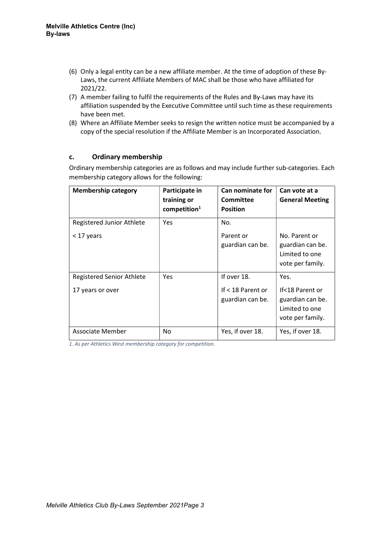- (6) Only a legal entity can be a new affiliate member. At the time of adoption of these By-Laws, the current Affiliate Members of MAC shall be those who have affiliated for 2021/22.
- (7) A member failing to fulfil the requirements of the Rules and By-Laws may have its affiliation suspended by the Executive Committee until such time as these requirements have been met.
- (8) Where an Affiliate Member seeks to resign the written notice must be accompanied by a copy of the special resolution if the Affiliate Member is an Incorporated Association.

## c. Ordinary membership

Ordinary membership categories are as follows and may include further sub-categories. Each membership category allows for the following:

| <b>Membership category</b>                           | Participate in<br>training or<br>component | Can nominate for<br>Committee<br><b>Position</b>     | Can vote at a<br><b>General Meeting</b>                                           |
|------------------------------------------------------|--------------------------------------------|------------------------------------------------------|-----------------------------------------------------------------------------------|
| Registered Junior Athlete<br>< 17 years              | <b>Yes</b>                                 | No.<br>Parent or<br>guardian can be.                 | No. Parent or<br>guardian can be.<br>Limited to one<br>vote per family.           |
| <b>Registered Senior Athlete</b><br>17 years or over | <b>Yes</b>                                 | If over 18.<br>If < 18 Parent or<br>guardian can be. | Yes.<br>If<18 Parent or<br>guardian can be.<br>Limited to one<br>vote per family. |
| Associate Member                                     | No                                         | Yes, if over 18.                                     | Yes, if over 18.                                                                  |

1. As per Athletics West membership category for competition.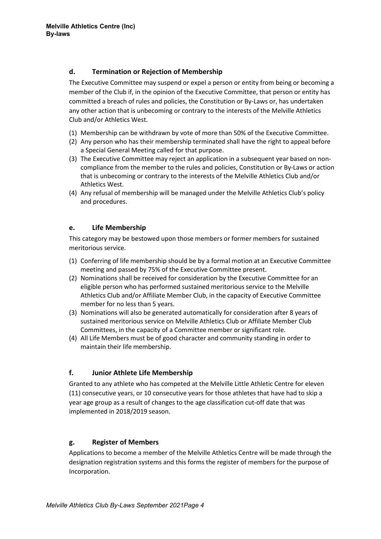# d. Termination or Rejection of Membership

The Executive Committee may suspend or expel a person or entity from being or becoming a member of the Club if, in the opinion of the Executive Committee, that person or entity has committed a breach of rules and policies, the Constitution or By-Laws or, has undertaken any other action that is unbecoming or contrary to the interests of the Melville Athletics Club and/or Athletics West.

- (1) Membership can be withdrawn by vote of more than 50% of the Executive Committee.
- (2) Any person who has their membership terminated shall have the right to appeal before a Special General Meeting called for that purpose.
- (3) The Executive Committee may reject an application in a subsequent year based on noncompliance from the member to the rules and policies, Constitution or By-Laws or action that is unbecoming or contrary to the interests of the Melville Athletics Club and/or Athletics West.
- (4) Any refusal of membership will be managed under the Melville Athletics Club's policy and procedures.

# e. Life Membership

This category may be bestowed upon those members or former members for sustained meritorious service.

- (1) Conferring of life membership should be by a formal motion at an Executive Committee meeting and passed by 75% of the Executive Committee present.
- (2) Nominations shall be received for consideration by the Executive Committee for an eligible person who has performed sustained meritorious service to the Melville Athletics Club and/or Affiliate Member Club, in the capacity of Executive Committee member for no less than 5 years.
- (3) Nominations will also be generated automatically for consideration after 8 years of sustained meritorious service on Melville Athletics Club or Affiliate Member Club Committees, in the capacity of a Committee member or significant role.
- (4) All Life Members must be of good character and community standing in order to maintain their life membership.

# f. Junior Athlete Life Membership

Granted to any athlete who has competed at the Melville Little Athletic Centre for eleven (11) consecutive years, or 10 consecutive years for those athletes that have had to skip a year age group as a result of changes to the age classification cut-off date that was implemented in 2018/2019 season.

# g. Register of Members

Applications to become a member of the Melville Athletics Centre will be made through the designation registration systems and this forms the register of members for the purpose of Incorporation.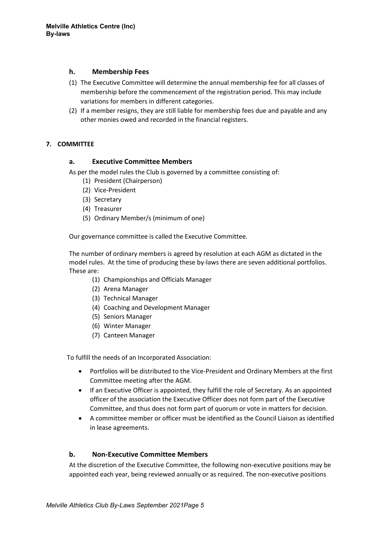## h. Membership Fees

- (1) The Executive Committee will determine the annual membership fee for all classes of membership before the commencement of the registration period. This may include variations for members in different categories.
- (2) If a member resigns, they are still liable for membership fees due and payable and any other monies owed and recorded in the financial registers.

## 7. COMMITTEE

## a. Executive Committee Members

As per the model rules the Club is governed by a committee consisting of:

- (1) President (Chairperson)
- (2) Vice-President
- (3) Secretary
- (4) Treasurer
- (5) Ordinary Member/s (minimum of one)

Our governance committee is called the Executive Committee.

The number of ordinary members is agreed by resolution at each AGM as dictated in the model rules. At the time of producing these by-laws there are seven additional portfolios. These are:

- (1) Championships and Officials Manager
- (2) Arena Manager
- (3) Technical Manager
- (4) Coaching and Development Manager
- (5) Seniors Manager
- (6) Winter Manager
- (7) Canteen Manager

To fulfill the needs of an Incorporated Association:

- Portfolios will be distributed to the Vice-President and Ordinary Members at the first Committee meeting after the AGM.
- If an Executive Officer is appointed, they fulfill the role of Secretary. As an appointed officer of the association the Executive Officer does not form part of the Executive Committee, and thus does not form part of quorum or vote in matters for decision.
- A committee member or officer must be identified as the Council Liaison as identified in lease agreements.

## b. Non-Executive Committee Members

At the discretion of the Executive Committee, the following non-executive positions may be appointed each year, being reviewed annually or as required. The non-executive positions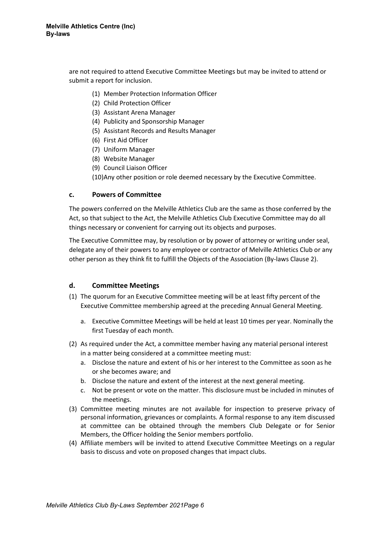are not required to attend Executive Committee Meetings but may be invited to attend or submit a report for inclusion.

- (1) Member Protection Information Officer
- (2) Child Protection Officer
- (3) Assistant Arena Manager
- (4) Publicity and Sponsorship Manager
- (5) Assistant Records and Results Manager
- (6) First Aid Officer
- (7) Uniform Manager
- (8) Website Manager
- (9) Council Liaison Officer
- (10)Any other position or role deemed necessary by the Executive Committee.

### c. Powers of Committee

The powers conferred on the Melville Athletics Club are the same as those conferred by the Act, so that subject to the Act, the Melville Athletics Club Executive Committee may do all things necessary or convenient for carrying out its objects and purposes.

The Executive Committee may, by resolution or by power of attorney or writing under seal, delegate any of their powers to any employee or contractor of Melville Athletics Club or any other person as they think fit to fulfill the Objects of the Association (By-laws Clause 2).

### d. Committee Meetings

- (1) The quorum for an Executive Committee meeting will be at least fifty percent of the Executive Committee membership agreed at the preceding Annual General Meeting.
	- a. Executive Committee Meetings will be held at least 10 times per year. Nominally the first Tuesday of each month.
- (2) As required under the Act, a committee member having any material personal interest in a matter being considered at a committee meeting must:
	- a. Disclose the nature and extent of his or her interest to the Committee as soon as he or she becomes aware; and
	- b. Disclose the nature and extent of the interest at the next general meeting.
	- c. Not be present or vote on the matter. This disclosure must be included in minutes of the meetings.
- (3) Committee meeting minutes are not available for inspection to preserve privacy of personal information, grievances or complaints. A formal response to any item discussed at committee can be obtained through the members Club Delegate or for Senior Members, the Officer holding the Senior members portfolio.
- (4) Affiliate members will be invited to attend Executive Committee Meetings on a regular basis to discuss and vote on proposed changes that impact clubs.